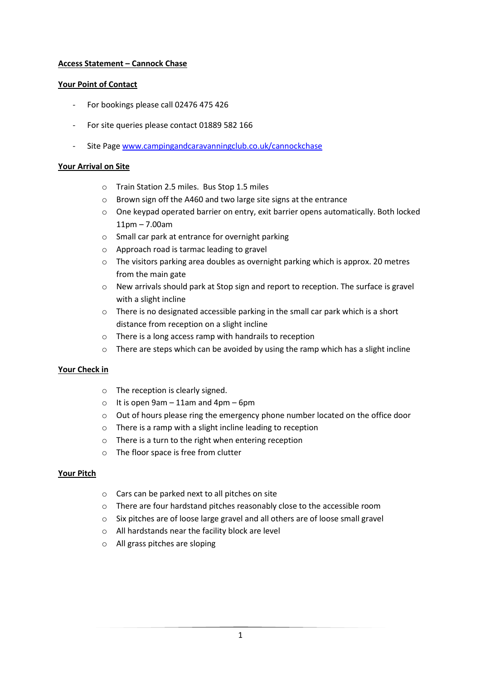# **Access Statement – Cannock Chase**

### **Your Point of Contact**

- For bookings please call 02476 475 426
- For site queries please contact 01889 582 166
- Site Page [www.campingandcaravanningclub.co.uk/cannockchase](http://www.campingandcaravanningclub.co.uk/cannockchase)

#### **Your Arrival on Site**

- o Train Station 2.5 miles. Bus Stop 1.5 miles
- o Brown sign off the A460 and two large site signs at the entrance
- o One keypad operated barrier on entry, exit barrier opens automatically. Both locked 11pm – 7.00am
- o Small car park at entrance for overnight parking
- o Approach road is tarmac leading to gravel
- $\circ$  The visitors parking area doubles as overnight parking which is approx. 20 metres from the main gate
- o New arrivals should park at Stop sign and report to reception. The surface is gravel with a slight incline
- o There is no designated accessible parking in the small car park which is a short distance from reception on a slight incline
- o There is a long access ramp with handrails to reception
- $\circ$  There are steps which can be avoided by using the ramp which has a slight incline

### **Your Check in**

- o The reception is clearly signed.
- $\circ$  It is open 9am 11am and 4pm 6pm
- o Out of hours please ring the emergency phone number located on the office door
- o There is a ramp with a slight incline leading to reception
- o There is a turn to the right when entering reception
- o The floor space is free from clutter

### **Your Pitch**

- o Cars can be parked next to all pitches on site
- o There are four hardstand pitches reasonably close to the accessible room
- $\circ$  Six pitches are of loose large gravel and all others are of loose small gravel
- o All hardstands near the facility block are level
- o All grass pitches are sloping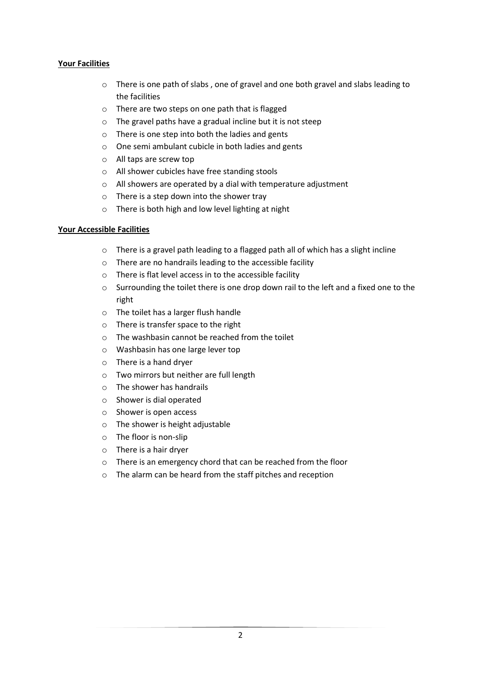# **Your Facilities**

- $\circ$  There is one path of slabs, one of gravel and one both gravel and slabs leading to the facilities
- o There are two steps on one path that is flagged
- o The gravel paths have a gradual incline but it is not steep
- o There is one step into both the ladies and gents
- o One semi ambulant cubicle in both ladies and gents
- o All taps are screw top
- o All shower cubicles have free standing stools
- o All showers are operated by a dial with temperature adjustment
- o There is a step down into the shower tray
- o There is both high and low level lighting at night

# **Your Accessible Facilities**

- o There is a gravel path leading to a flagged path all of which has a slight incline
- o There are no handrails leading to the accessible facility
- o There is flat level access in to the accessible facility
- o Surrounding the toilet there is one drop down rail to the left and a fixed one to the right
- o The toilet has a larger flush handle
- o There is transfer space to the right
- o The washbasin cannot be reached from the toilet
- o Washbasin has one large lever top
- o There is a hand dryer
- o Two mirrors but neither are full length
- o The shower has handrails
- o Shower is dial operated
- o Shower is open access
- o The shower is height adjustable
- o The floor is non-slip
- o There is a hair dryer
- o There is an emergency chord that can be reached from the floor
- o The alarm can be heard from the staff pitches and reception